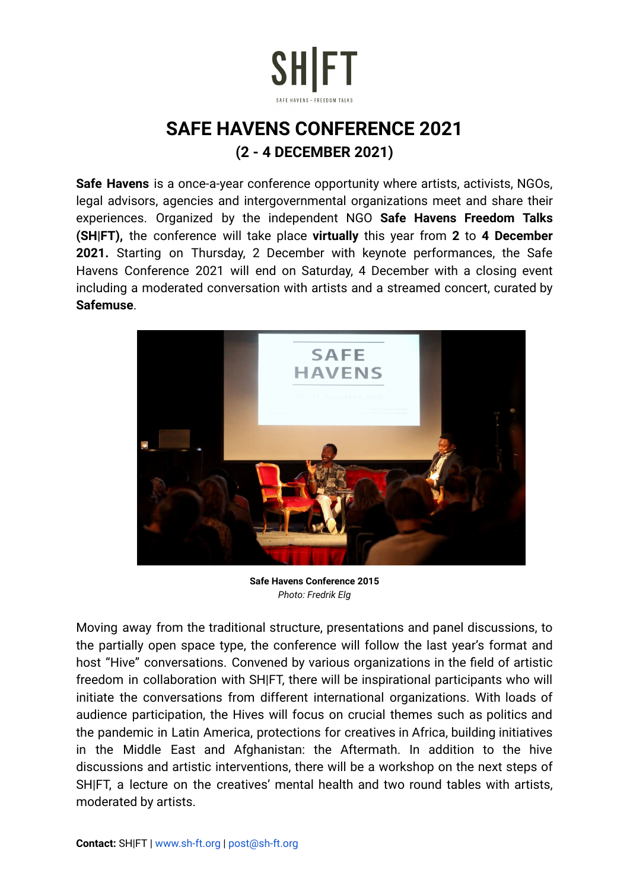

## **SAFE HAVENS CONFERENCE 2021 (2 - 4 DECEMBER 2021)**

**Safe Havens** is a once-a-year conference opportunity where artists, activists, NGOs, legal advisors, agencies and intergovernmental organizations meet and share their experiences. Organized by the independent NGO **Safe Havens Freedom Talks (SH|FT),** the conference will take place **virtually** this year from **2** to **4 December 2021.** Starting on Thursday, 2 December with keynote performances, the Safe Havens Conference 2021 will end on Saturday, 4 December with a closing event including a moderated conversation with artists and a streamed concert, curated by **Safemuse**.



**Safe Havens Conference 2015** *Photo: Fredrik Elg*

Moving away from the traditional structure, presentations and panel discussions, to the partially open space type, the conference will follow the last year's format and host "Hive" conversations. Convened by various organizations in the field of artistic freedom in collaboration with SH|FT, there will be inspirational participants who will initiate the conversations from different international organizations. With loads of audience participation, the Hives will focus on crucial themes such as politics and the pandemic in Latin America, protections for creatives in Africa, building initiatives in the Middle East and Afghanistan: the Aftermath. In addition to the hive discussions and artistic interventions, there will be a workshop on the next steps of SH|FT, a lecture on the creatives' mental health and two round tables with artists, moderated by artists.